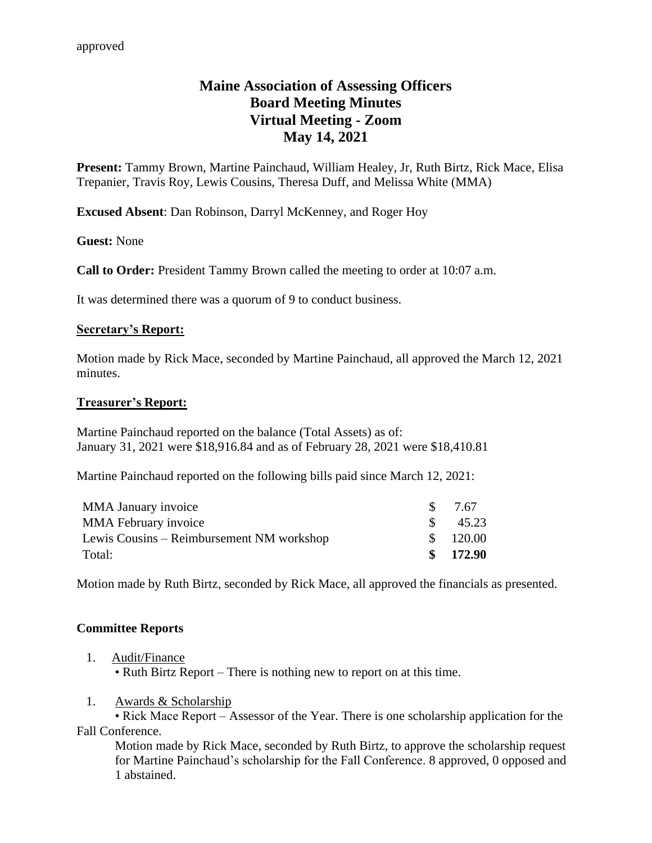# **Maine Association of Assessing Officers Board Meeting Minutes Virtual Meeting - Zoom May 14, 2021**

**Present:** Tammy Brown, Martine Painchaud, William Healey, Jr, Ruth Birtz, Rick Mace, Elisa Trepanier, Travis Roy, Lewis Cousins, Theresa Duff, and Melissa White (MMA)

**Excused Absent**: Dan Robinson, Darryl McKenney, and Roger Hoy

**Guest:** None

**Call to Order:** President Tammy Brown called the meeting to order at 10:07 a.m.

It was determined there was a quorum of 9 to conduct business.

#### **Secretary's Report:**

Motion made by Rick Mace, seconded by Martine Painchaud, all approved the March 12, 2021 minutes.

#### **Treasurer's Report:**

Martine Painchaud reported on the balance (Total Assets) as of: January 31, 2021 were \$18,916.84 and as of February 28, 2021 were \$18,410.81

Martine Painchaud reported on the following bills paid since March 12, 2021:

| <b>MMA January invoice</b>                | S             | 7.67   |
|-------------------------------------------|---------------|--------|
| <b>MMA February invoice</b>               | $\mathcal{S}$ | 45.23  |
| Lewis Cousins – Reimbursement NM workshop | $\mathcal{S}$ | 120.00 |
| Total:                                    | $\mathbf{S}$  | 172.90 |

Motion made by Ruth Birtz, seconded by Rick Mace, all approved the financials as presented.

#### **Committee Reports**

1. Audit/Finance

• Ruth Birtz Report – There is nothing new to report on at this time.

1. Awards & Scholarship

• Rick Mace Report – Assessor of the Year. There is one scholarship application for the Fall Conference.

Motion made by Rick Mace, seconded by Ruth Birtz, to approve the scholarship request for Martine Painchaud's scholarship for the Fall Conference. 8 approved, 0 opposed and 1 abstained.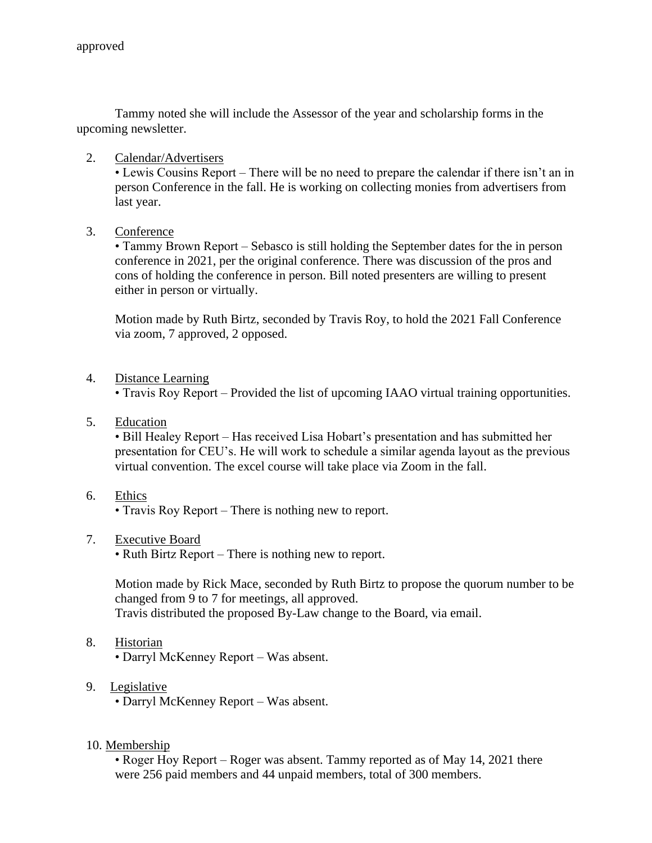Tammy noted she will include the Assessor of the year and scholarship forms in the upcoming newsletter.

2. Calendar/Advertisers

• Lewis Cousins Report – There will be no need to prepare the calendar if there isn't an in person Conference in the fall. He is working on collecting monies from advertisers from last year.

3. Conference

• Tammy Brown Report – Sebasco is still holding the September dates for the in person conference in 2021, per the original conference. There was discussion of the pros and cons of holding the conference in person. Bill noted presenters are willing to present either in person or virtually.

Motion made by Ruth Birtz, seconded by Travis Roy, to hold the 2021 Fall Conference via zoom, 7 approved, 2 opposed.

4. Distance Learning

• Travis Roy Report – Provided the list of upcoming IAAO virtual training opportunities.

5. Education

• Bill Healey Report – Has received Lisa Hobart's presentation and has submitted her presentation for CEU's. He will work to schedule a similar agenda layout as the previous virtual convention. The excel course will take place via Zoom in the fall.

6. Ethics

• Travis Roy Report – There is nothing new to report.

7. Executive Board

• Ruth Birtz Report – There is nothing new to report.

Motion made by Rick Mace, seconded by Ruth Birtz to propose the quorum number to be changed from 9 to 7 for meetings, all approved. Travis distributed the proposed By-Law change to the Board, via email.

8. Historian

• Darryl McKenney Report – Was absent.

9. Legislative

• Darryl McKenney Report – Was absent.

10. Membership

• Roger Hoy Report – Roger was absent. Tammy reported as of May 14, 2021 there were 256 paid members and 44 unpaid members, total of 300 members.